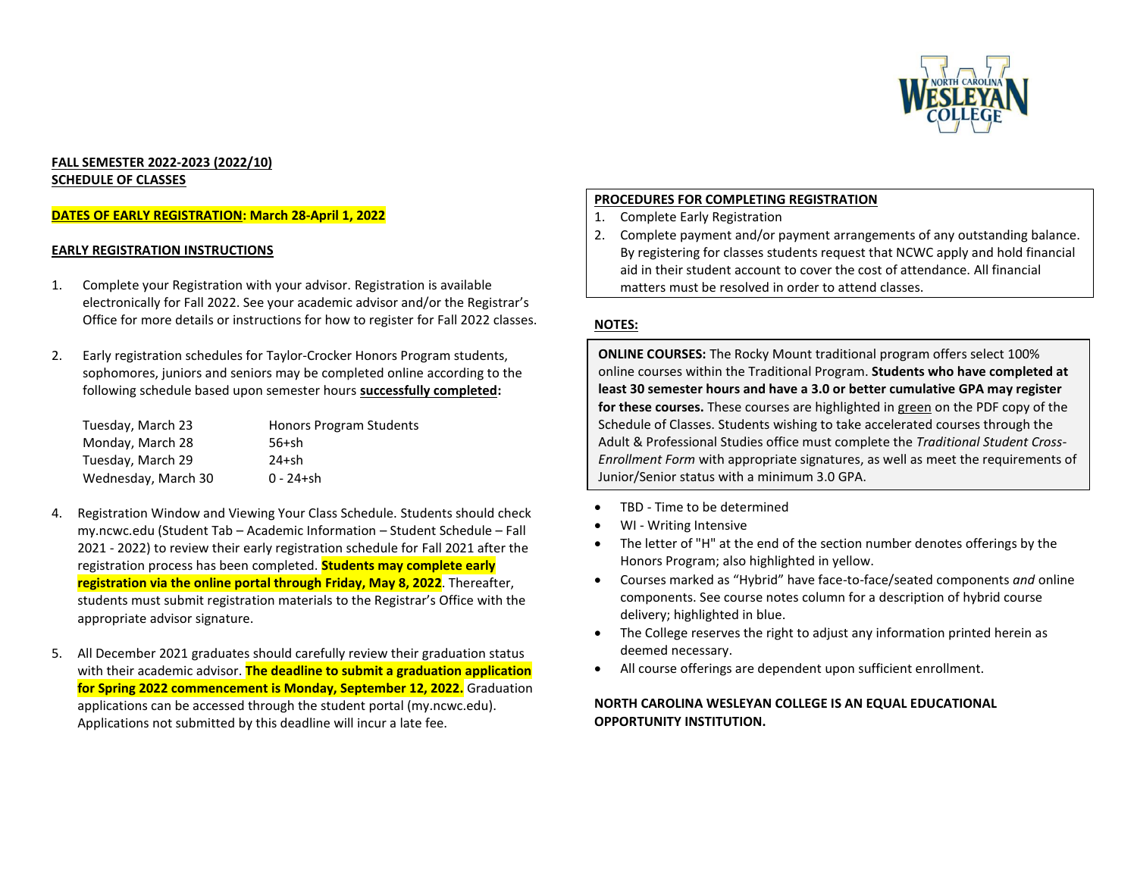

# **FALL SEMESTER 2022-2023 (2022/10) SCHEDULE OF CLASSES**

# **DATES OF EARLY REGISTRATION: March 28-April 1, 2022**

#### **EARLY REGISTRATION INSTRUCTIONS**

- 1. Complete your Registration with your advisor. Registration is available electronically for Fall 2022. See your academic advisor and/or the Registrar's Office for more details or instructions for how to register for Fall 2022 classes.
- 2. Early registration schedules for Taylor-Crocker Honors Program students, sophomores, juniors and seniors may be completed online according to the following schedule based upon semester hours **successfully completed:**

| Tuesday, March 23   | Honors Program Students |
|---------------------|-------------------------|
| Monday, March 28    | $56+sh$                 |
| Tuesday, March 29   | $24 + sh$               |
| Wednesday, March 30 | $0 - 24 + sh$           |

- 4. Registration Window and Viewing Your Class Schedule. Students should check my.ncwc.edu (Student Tab – Academic Information – Student Schedule – Fall 2021 - 2022) to review their early registration schedule for Fall 2021 after the registration process has been completed. **Students may complete early registration via the online portal through Friday, May 8, 2022**. Thereafter, students must submit registration materials to the Registrar's Office with the appropriate advisor signature.
- 5. All December 2021 graduates should carefully review their graduation status with their academic advisor. **The deadline to submit a graduation application for Spring 2022 commencement is Monday, September 12, 2022.** Graduation applications can be accessed through the student portal (my.ncwc.edu). Applications not submitted by this deadline will incur a late fee.

#### **PROCEDURES FOR COMPLETING REGISTRATION**

- 1. Complete Early Registration
- 2. Complete payment and/or payment arrangements of any outstanding balance. By registering for classes students request that NCWC apply and hold financial aid in their student account to cover the cost of attendance. All financial matters must be resolved in order to attend classes.

### **NOTES:**

**ONLINE COURSES:** The Rocky Mount traditional program offers select 100% online courses within the Traditional Program. **Students who have completed at least 30 semester hours and have a 3.0 or better cumulative GPA may register for these courses.** These courses are highlighted in green on the PDF copy of the Schedule of Classes. Students wishing to take accelerated courses through the Adult & Professional Studies office must complete the *Traditional Student Cross-Enrollment Form* with appropriate signatures, as well as meet the requirements of Junior/Senior status with a minimum 3.0 GPA.

- TBD Time to be determined
- WI Writing Intensive
- The letter of "H" at the end of the section number denotes offerings by the Honors Program; also highlighted in yellow.
- Courses marked as "Hybrid" have face-to-face/seated components *and* online components. See course notes column for a description of hybrid course delivery; highlighted in blue.
- The College reserves the right to adjust any information printed herein as deemed necessary.
- All course offerings are dependent upon sufficient enrollment.

### **NORTH CAROLINA WESLEYAN COLLEGE IS AN EQUAL EDUCATIONAL OPPORTUNITY INSTITUTION.**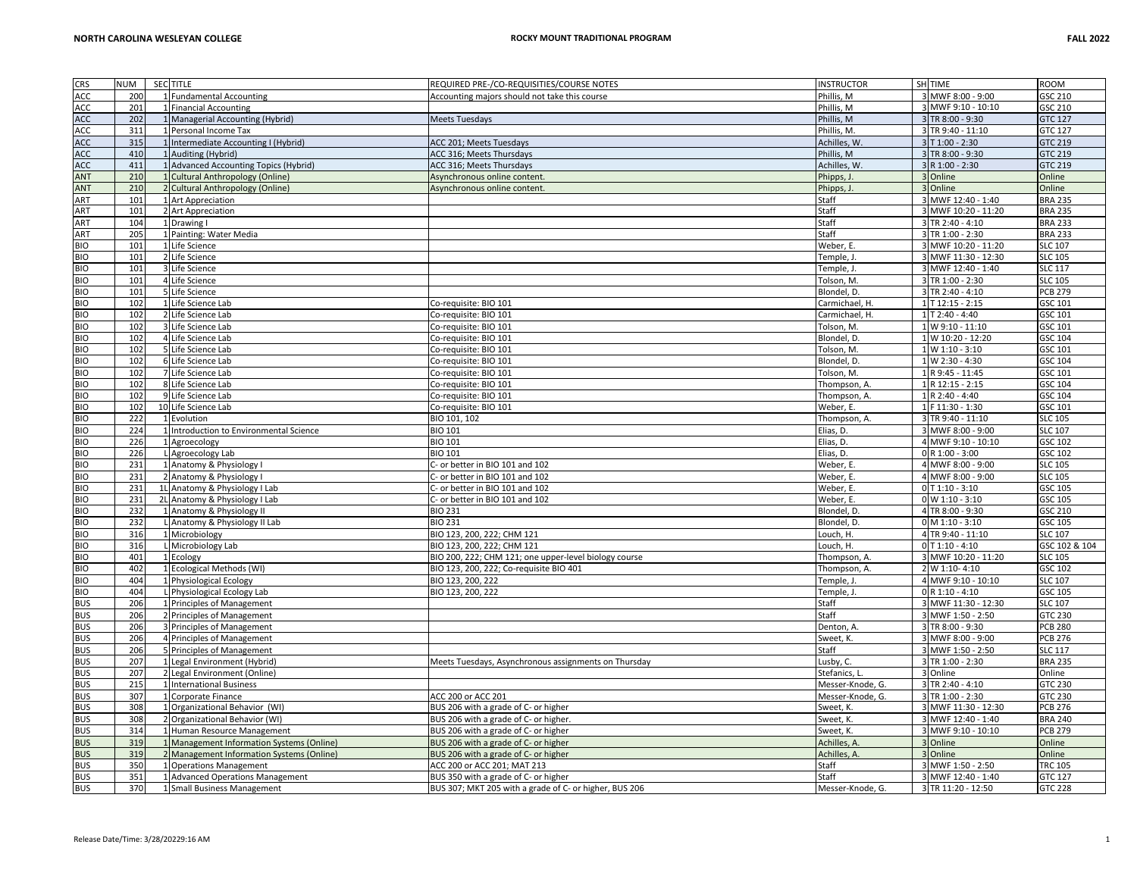| <b>CRS</b> | <b>NUM</b> | SEC TITLE                                                                              | REQUIRED PRE-/CO-REQUISITIES/COURSE NOTES                                    | <b>INSTRUCTOR</b> | SH TIME             | <b>ROOM</b>    |
|------------|------------|----------------------------------------------------------------------------------------|------------------------------------------------------------------------------|-------------------|---------------------|----------------|
| ACC        | 200        | 1 Fundamental Accounting                                                               | Accounting majors should not take this course                                | Phillis, M        | 3 MWF 8:00 - 9:00   | GSC 210        |
| ACC        | 201        | 1 Financial Accounting                                                                 |                                                                              | Phillis, M        | 3 MWF 9:10 - 10:10  | GSC 210        |
| ACC        | 202        | 1 Managerial Accounting (Hybrid)                                                       | <b>Meets Tuesdays</b>                                                        | Phillis, M        | 3 TR 8:00 - 9:30    | <b>GTC 127</b> |
| ACC        | 311        | 1 Personal Income Tax                                                                  |                                                                              | Phillis, M.       | 3 TR 9:40 - 11:10   | GTC 127        |
| ACC        | 315        | 1 Intermediate Accounting I (Hybrid)                                                   | ACC 201; Meets Tuesdays                                                      | Achilles. W       | $3$ T 1:00 - 2:30   | <b>GTC 219</b> |
| ACC        | 410        | 1 Auditing (Hybrid)                                                                    | ACC 316; Meets Thursdays                                                     | Phillis, M        | 3 TR 8:00 - 9:30    | <b>GTC 219</b> |
| ACC        | 411        | 1 Advanced Accounting Topics (Hybrid)                                                  | ACC 316; Meets Thursdays                                                     | Achilles, W       | 3 R 1:00 - 2:30     | <b>GTC 219</b> |
| ANT        | 210        | 1 Cultural Anthropology (Online)                                                       | Asynchronous online content.                                                 | Phipps,.          | 3 Online            | Online         |
| ANT        | 210        | 2 Cultural Anthropology (Online)                                                       | Asynchronous online content.                                                 | Phipps, J.        | 3 Online            | Online         |
| ART        | 101        | 1 Art Appreciation                                                                     |                                                                              | Staff             | 3 MWF 12:40 - 1:40  | <b>BRA 235</b> |
| <b>ART</b> | 101        | 2 Art Appreciation                                                                     |                                                                              | Staff             | 3 MWF 10:20 - 11:20 | <b>BRA 235</b> |
| ART        | 104        | 1 Drawing I                                                                            |                                                                              | Staff             | 3 TR 2:40 - 4:10    | <b>BRA 233</b> |
| ART        | 205        | 1 Painting: Water Media                                                                |                                                                              | Staff             | 3 TR 1:00 - 2:30    | <b>BRA 233</b> |
| <b>BIO</b> | 101        | 1 Life Science                                                                         |                                                                              | Weber, E.         | 3 MWF 10:20 - 11:20 | <b>SLC 107</b> |
| <b>BIO</b> | 101        | 2 Life Science                                                                         |                                                                              | Temple, J.        | 3 MWF 11:30 - 12:30 | <b>SLC 105</b> |
| <b>BIO</b> | 101        | 3 Life Science                                                                         |                                                                              | Temple, J.        | 3 MWF 12:40 - 1:40  | <b>SLC 117</b> |
| <b>BIO</b> | 101        | 4 Life Science                                                                         |                                                                              | Tolson, M.        | 3 TR 1:00 - 2:30    | <b>SLC 105</b> |
| <b>BIO</b> | 101        | 5 Life Science                                                                         |                                                                              | Blondel, D.       | 3 TR 2:40 - 4:10    | <b>PCB 279</b> |
| <b>BIO</b> | 102        | 1 Life Science Lab                                                                     | Co-requisite: BIO 101                                                        | Carmichael, H.    | 1 T 12:15 - 2:15    | GSC 101        |
| <b>BIO</b> | 102        | 2 Life Science Lab                                                                     | Co-requisite: BIO 101                                                        | Carmichael, H.    | 1 T 2:40 - 4:40     | GSC 101        |
| <b>BIO</b> | 102        | 3 Life Science Lab                                                                     | Co-requisite: BIO 101                                                        | Tolson, M.        | 1 W 9:10 - 11:10    | GSC 101        |
| <b>BIO</b> | 102        | 4 Life Science Lab                                                                     | Co-requisite: BIO 101                                                        | Blondel, D.       | 1 W 10:20 - 12:20   | GSC 104        |
| <b>BIO</b> | 102        | 5 Life Science Lab                                                                     | Co-requisite: BIO 101                                                        | Tolson, M.        | 1 W 1:10 - 3:10     | GSC 101        |
| <b>BIO</b> | 102        | 6 Life Science Lab                                                                     | Co-requisite: BIO 101                                                        | Blondel, D.       | 1 W 2:30 - 4:30     | GSC 104        |
| <b>BIO</b> | 102        | 7 Life Science Lab                                                                     | Co-requisite: BIO 101                                                        | Tolson, M.        | 1 R 9:45 - 11:45    | GSC 101        |
| <b>BIO</b> | 102        | 8 Life Science Lab                                                                     | Co-requisite: BIO 101                                                        | Thompson, A.      | 1 R 12:15 - 2:15    | GSC 104        |
| <b>BIO</b> | 102        | 9 Life Science Lab                                                                     | Co-requisite: BIO 101                                                        | Thompson, A.      | 1 R 2:40 - 4:40     | GSC 104        |
| <b>BIO</b> | 102        | 10 Life Science Lab                                                                    | Co-requisite: BIO 101                                                        | Weber, E.         | 1 F 11:30 - 1:30    | GSC 101        |
| <b>BIO</b> | 222        | 1 Evolution                                                                            | BIO 101, 102                                                                 | Thompson, A.      | 3 TR 9:40 - 11:10   | <b>SLC 105</b> |
| <b>BIO</b> | 224        | 1 Introduction to Environmental Science                                                | <b>BIO 101</b>                                                               | Elias, D.         | 3 MWF 8:00 - 9:00   | <b>SLC 107</b> |
| <b>BIO</b> | 226        | 1 Agroecology                                                                          | <b>BIO 101</b>                                                               | Elias, D.         | 4 MWF 9:10 - 10:10  | GSC 102        |
| <b>BIO</b> | 226        | L Agroecology Lab                                                                      | <b>BIO 101</b>                                                               | Elias, D.         | 0 R 1:00 - 3:00     | GSC 102        |
| <b>BIO</b> | 231        | 1 Anatomy & Physiology I                                                               | C- or better in BIO 101 and 102                                              | Weber, E.         | 4 MWF 8:00 - 9:00   | <b>SLC 105</b> |
| <b>BIO</b> | 231        | 2 Anatomy & Physiology I                                                               | C- or better in BIO 101 and 102                                              | Weber, E.         | 4 MWF 8:00 - 9:00   | <b>SLC 105</b> |
| <b>BIO</b> | 231        | 1L Anatomy & Physiology I Lab                                                          | C- or better in BIO 101 and 102                                              | Weber, E.         | $0$ T 1:10 - 3:10   | GSC 105        |
| <b>BIO</b> | 231        | 2L Anatomy & Physiology I Lab                                                          | C- or better in BIO 101 and 102                                              | Weber, E.         | 0 W 1:10 - 3:10     | GSC 105        |
| <b>BIO</b> | 232        | 1 Anatomy & Physiology II                                                              | <b>BIO 231</b>                                                               | Blondel, D.       | 4 TR 8:00 - 9:30    | GSC 210        |
| <b>BIO</b> | 232        | L Anatomy & Physiology II Lab                                                          | <b>BIO 231</b>                                                               | Blondel, D.       | $0$ M 1:10 - 3:10   | GSC 105        |
| <b>BIO</b> | 316        | 1 Microbiology                                                                         | BIO 123, 200, 222; CHM 121                                                   | Louch, H.         | 4 TR 9:40 - 11:10   | <b>SLC 107</b> |
| <b>BIO</b> | 316        | L Microbiology Lab                                                                     | BIO 123, 200, 222; CHM 121                                                   | Louch, H.         | $0$ T 1:10 - 4:10   | GSC 102 & 104  |
| <b>BIO</b> | 401        | 1 Ecology                                                                              | BIO 200, 222; CHM 121; one upper-level biology course                        | Thompson, A.      | 3 MWF 10:20 - 11:20 | <b>SLC 105</b> |
| <b>BIO</b> | 402        | 1 Ecological Methods (WI)                                                              | BIO 123, 200, 222; Co-requisite BIO 401                                      | Thompson, A.      | 2 W 1:10-4:10       | GSC 102        |
| <b>BIO</b> | 404        | 1 Physiological Ecology                                                                | BIO 123, 200, 222                                                            | Temple, J.        | 4 MWF 9:10 - 10:10  | <b>SLC 107</b> |
| <b>BIO</b> | 404        | L Physiological Ecology Lab                                                            | BIO 123, 200, 222                                                            | Temple, J.        | 0 R 1:10 - 4:10     | GSC 105        |
| <b>BUS</b> | 206        | 1 Principles of Management                                                             |                                                                              | Staff             | 3 MWF 11:30 - 12:30 | <b>SLC 107</b> |
| <b>BUS</b> | 206        | 2 Principles of Management                                                             |                                                                              | Staff             | 3 MWF 1:50 - 2:50   | GTC 230        |
| <b>BUS</b> | 206        | 3 Principles of Management                                                             |                                                                              | Denton, A.        | 3 TR 8:00 - 9:30    | <b>PCB 280</b> |
| <b>BUS</b> | 206        | 4 Principles of Management                                                             |                                                                              | Sweet, K          | 3 MWF 8:00 - 9:00   | <b>PCB 276</b> |
| <b>BUS</b> | 206        | 5 Principles of Management                                                             |                                                                              | Staff             | 3 MWF 1:50 - 2:50   | <b>SLC 117</b> |
| <b>BUS</b> | 207        | 1 Legal Environment (Hybrid)                                                           | Meets Tuesdays, Asynchronous assignments on Thursday                         | Lusby, C.         | 3 TR 1:00 - 2:30    | <b>BRA 235</b> |
| <b>BUS</b> | 207        | 2 Legal Environment (Online)                                                           |                                                                              | Stefanics, L      | 3 Online            | Online         |
| <b>BUS</b> | 215        | 1 International Business                                                               |                                                                              | Messer-Knode, G.  | 3 TR 2:40 - 4:10    | GTC 230        |
| <b>BUS</b> | 307        | 1 Corporate Finance                                                                    | ACC 200 or ACC 201                                                           | Messer-Knode, G.  | 3 TR 1:00 - 2:30    | GTC 230        |
| <b>BUS</b> | 308        | 1 Organizational Behavior (WI)                                                         | BUS 206 with a grade of C- or higher                                         | Sweet, K.         | 3 MWF 11:30 - 12:30 | <b>PCB 276</b> |
| <b>BUS</b> | 308        | 2 Organizational Behavior (WI)                                                         | BUS 206 with a grade of C- or higher.                                        | Sweet, K.         | 3 MWF 12:40 - 1:40  | <b>BRA 240</b> |
| <b>BUS</b> | 314        | 1 Human Resource Management                                                            | BUS 206 with a grade of C- or higher                                         | Sweet, K.         | 3 MWF 9:10 - 10:10  | <b>PCB 279</b> |
| <b>BUS</b> | 319        |                                                                                        |                                                                              | Achilles, A.      | 3 Online            | Online         |
| <b>BUS</b> | 319        | 1 Management Information Systems (Online)<br>2 Management Information Systems (Online) | BUS 206 with a grade of C- or higher<br>BUS 206 with a grade of C- or higher | Achilles, A.      | 3 Online            | Online         |
| <b>BUS</b> | 350        | 1 Operations Management                                                                | ACC 200 or ACC 201; MAT 213                                                  | Staff             | 3 MWF 1:50 - 2:50   | <b>TRC 105</b> |
| <b>BUS</b> | 351        | 1 Advanced Operations Management                                                       | BUS 350 with a grade of C- or higher                                         | Staff             | 3 MWF 12:40 - 1:40  | <b>GTC 127</b> |
| <b>BUS</b> | 370        | 1 Small Business Management                                                            | BUS 307; MKT 205 with a grade of C- or higher, BUS 206                       |                   | 3 TR 11:20 - 12:50  | <b>GTC 228</b> |
|            |            |                                                                                        |                                                                              | Messer-Knode, G.  |                     |                |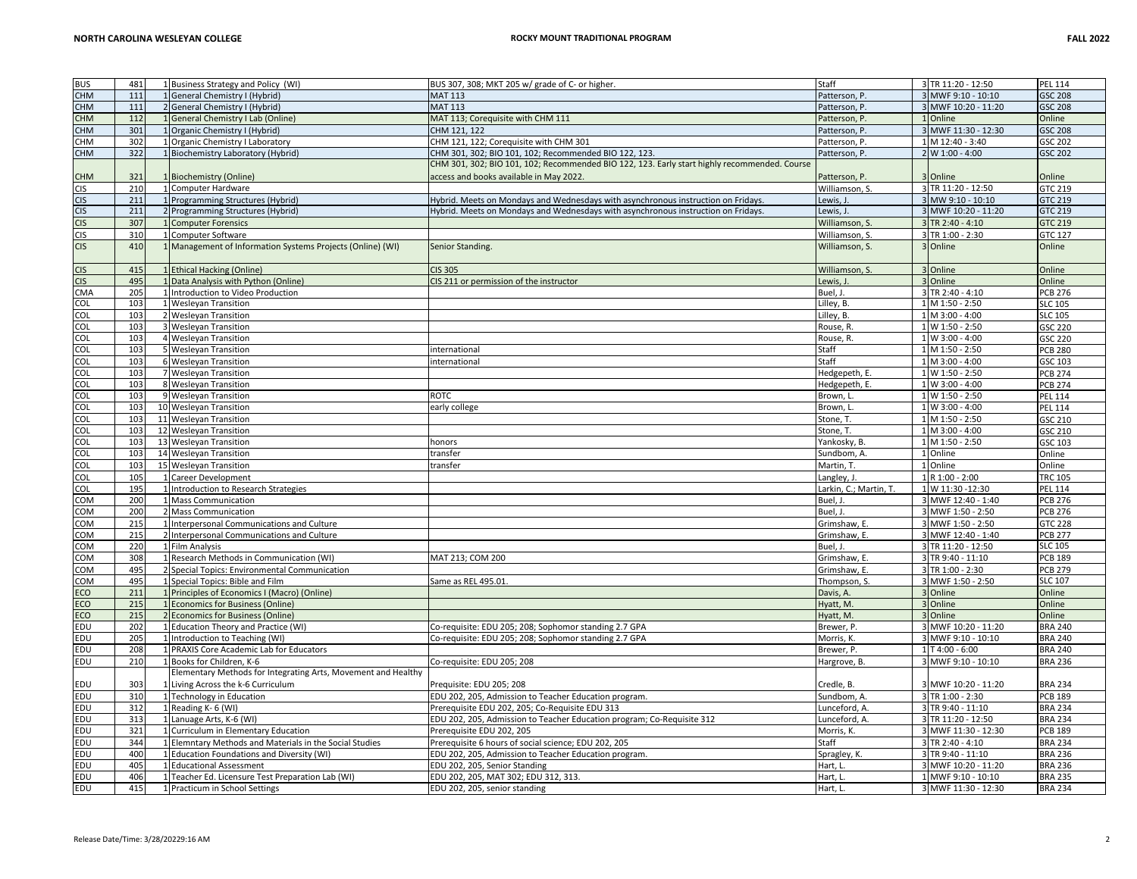| <b>BUS</b>               | 481             | 1 Business Strategy and Policy (WI)                           | BUS 307, 308; MKT 205 w/ grade of C- or higher.                                              | Staff                  | 3 TR 11:20 - 12:50  | <b>PEL 114</b>                   |
|--------------------------|-----------------|---------------------------------------------------------------|----------------------------------------------------------------------------------------------|------------------------|---------------------|----------------------------------|
| <b>CHM</b>               | 111             | 1 General Chemistry I (Hybrid)                                | <b>MAT 113</b>                                                                               | Patterson, P.          | 3 MWF 9:10 - 10:10  | <b>GSC 208</b>                   |
| <b>CHM</b>               | 111             | 2 General Chemistry I (Hybrid)                                | <b>MAT 113</b>                                                                               | Patterson, P.          | 3 MWF 10:20 - 11:20 | <b>GSC 208</b>                   |
| <b>CHM</b>               | 112             | 1 General Chemistry I Lab (Online)                            | MAT 113; Corequisite with CHM 111                                                            | Patterson. P.          | 1 Online            | Online                           |
| <b>CHM</b>               | 301             | 1 Organic Chemistry I (Hybrid)                                | CHM 121, 122                                                                                 | Patterson, P.          | 3 MWF 11:30 - 12:30 | <b>GSC 208</b>                   |
| <b>CHM</b>               | 302             | 1 Organic Chemistry I Laboratory                              | CHM 121, 122; Corequisite with CHM 301                                                       | Patterson, P.          | 1 M 12:40 - 3:40    | GSC 202                          |
| CHM                      | 322             | 1 Biochemistry Laboratory (Hybrid)                            | CHM 301, 302; BIO 101, 102; Recommended BIO 122, 123.                                        | Patterson, P.          | $2$ W 1:00 - 4:00   | GSC 202                          |
|                          |                 |                                                               | CHM 301, 302; BIO 101, 102; Recommended BIO 122, 123. Early start highly recommended. Course |                        |                     |                                  |
| <b>CHM</b>               | 321             | 1 Biochemistry (Online)                                       | access and books available in May 2022.                                                      | Patterson, P.          | 3 Online            | Online                           |
| <b>CIS</b>               | 210             | 1 Computer Hardware                                           |                                                                                              | Williamson, S.         | 3 TR 11:20 - 12:50  | GTC 219                          |
| <b>CIS</b>               | 211             | 1 Programming Structures (Hybrid)                             | Hybrid. Meets on Mondays and Wednesdays with asynchronous instruction on Fridays.            | Lewis. J.              | 3 MW 9:10 - 10:10   | <b>GTC 219</b>                   |
| $\overline{CS}$          | 211             | 2 Programming Structures (Hybrid)                             | Hybrid. Meets on Mondays and Wednesdays with asynchronous instruction on Fridays.            | Lewis, J               | 3 MWF 10:20 - 11:20 | GTC 219                          |
| <b>CIS</b>               | 307             | 1 Computer Forensics                                          |                                                                                              | Williamson, S.         | 3 TR 2:40 - 4:10    | <b>GTC 219</b>                   |
| <b>CIS</b>               | 310             | 1 Computer Software                                           |                                                                                              | Williamson, S.         | 3 TR 1:00 - 2:30    | GTC 127                          |
| <b>CIS</b>               | 410             |                                                               |                                                                                              | Williamson, S.         | 3 Online            | Online                           |
|                          |                 | 1 Management of Information Systems Projects (Online) (WI)    | Senior Standing.                                                                             |                        |                     |                                  |
|                          | 415             |                                                               |                                                                                              |                        |                     |                                  |
| <b>CIS</b><br><b>CIS</b> |                 | 1 Ethical Hacking (Online)                                    | <b>CIS 305</b>                                                                               | Williamson, S.         | 3 Online            | Online                           |
|                          | 495             | 1 Data Analysis with Python (Online)                          | CIS 211 or permission of the instructor                                                      | Lewis, J               | 3 Online            | Online                           |
| CMA                      | 205             | 1 Introduction to Video Production                            |                                                                                              | Buel, J.               | 3 TR 2:40 - 4:10    | <b>PCB 276</b>                   |
| COL                      | 103             | 1 Wesleyan Transition                                         |                                                                                              | Lilley, B.             | 1 M 1:50 - 2:50     | <b>SLC 105</b>                   |
| $\overline{COL}$         | 103             | 2 Wesleyan Transition                                         |                                                                                              | Lilley, B.             | 1 M 3:00 - 4:00     | <b>SLC 105</b>                   |
| COL                      | 103             | 3 Wesleyan Transition                                         |                                                                                              | Rouse, R.              | 1 W 1:50 - 2:50     | GSC 220                          |
| <b>COL</b>               | 103             | 4 Wesleyan Transition                                         |                                                                                              | Rouse, R.              | 1 W 3:00 - 4:00     | GSC 220                          |
| COL                      | 103             | 5 Wesleyan Transition                                         | international                                                                                | Staff                  | 1 M 1:50 - 2:50     | <b>PCB 280</b>                   |
| COL                      | 103             | 6 Wesleyan Transition                                         | international                                                                                | Staff                  | 1 M 3:00 - 4:00     | GSC 103                          |
| COL                      | 103             | 7 Wesleyan Transition                                         |                                                                                              | Hedgepeth, E.          | 1 W 1:50 - 2:50     | <b>PCB 274</b>                   |
| COL                      | 103             | 8 Wesleyan Transition                                         |                                                                                              | Hedgepeth, E.          | 1 W 3:00 - 4:00     | <b>PCB 274</b>                   |
| COL                      | 103             | 9 Wesleyan Transition                                         | <b>ROTC</b>                                                                                  | Brown, L.              | 1 W 1:50 - 2:50     | <b>PEL 114</b>                   |
| COL                      | 103             | 10 Wesleyan Transition                                        | early college                                                                                | Brown. L.              | 1 W 3:00 - 4:00     | <b>PEL 114</b>                   |
| $\overline{col}$         | 103             | 11 Wesleyan Transition                                        |                                                                                              | Stone, T.              | 1 M 1:50 - 2:50     | GSC 210                          |
| COL                      | 10 <sup>2</sup> | 12 Wesleyan Transition                                        |                                                                                              | Stone, T.              | 1 M 3:00 - 4:00     | GSC 210                          |
|                          |                 |                                                               |                                                                                              |                        |                     |                                  |
| $\overline{COL}$         | 103             | 13 Wesleyan Transition                                        | honors                                                                                       | Yankosky, B.           | 1 M 1:50 - 2:50     | GSC 103                          |
| COL                      | 10 <sub>3</sub> | 14 Wesleyan Transition                                        | transfer                                                                                     | Sundbom, A.            | 1 Online            | Online                           |
|                          | 103             | 15 Wesleyan Transition                                        | transfer                                                                                     | Martin, T.             | 1 Online            | Online                           |
| $\overline{c}$           |                 |                                                               |                                                                                              |                        |                     |                                  |
| COL                      | 105             | 1 Career Development                                          |                                                                                              | Langley, J.            | 1 R 1:00 - 2:00     | <b>TRC 105</b><br><b>PEL 114</b> |
| COL                      | 195             | 1 Introduction to Research Strategies                         |                                                                                              | Larkin, C.; Martin, T. | 1 W 11:30 - 12:30   |                                  |
| COM                      | 200             | 1 Mass Communication                                          |                                                                                              | Buel. J.               | 3 MWF 12:40 - 1:40  | <b>PCB 276</b>                   |
| COM                      | 200             | 2 Mass Communication                                          |                                                                                              | Buel, J.               | 3 MWF 1:50 - 2:50   | <b>PCB 276</b>                   |
| COM                      | 215             | Interpersonal Communications and Culture                      |                                                                                              | Grimshaw, E.           | 3 MWF 1:50 - 2:50   | <b>GTC 228</b>                   |
| COM                      | 215             | 2 Interpersonal Communications and Culture                    |                                                                                              | Grimshaw, E.           | 3 MWF 12:40 - 1:40  | <b>PCB 277</b>                   |
| COM                      | 220             | 1 Film Analysis                                               |                                                                                              | Buel, J.               | 3 TR 11:20 - 12:50  | <b>SLC 105</b>                   |
| COM                      | 308             | Research Methods in Communication (WI)                        | MAT 213; COM 200                                                                             | Grimshaw, E.           | 3 TR 9:40 - 11:10   | <b>PCB 189</b>                   |
| COM                      | 495             | 2 Special Topics: Environmental Communication                 |                                                                                              | Grimshaw, E.           | 3 TR 1:00 - 2:30    | <b>PCB 279</b>                   |
| COM                      | 495             | 1 Special Topics: Bible and Film                              | Same as REL 495.01                                                                           | Thompson, S.           | 3 MWF 1:50 - 2:50   | <b>SLC 107</b>                   |
| ECO                      | 211             | 1 Principles of Economics I (Macro) (Online)                  |                                                                                              | Davis, A.              | 3 Online            | Online                           |
| ECO                      | 215             | 1 Economics for Business (Online)                             |                                                                                              | Hyatt, M.              | 3 Online            | Online                           |
| ECO                      | 215             | 2 Economics for Business (Online)                             |                                                                                              | Hyatt, M.              | 3 Online            | Online                           |
| EDU                      | 202             | 1 Education Theory and Practice (WI)                          | Co-requisite: EDU 205; 208; Sophomor standing 2.7 GPA                                        | Brewer, P.             | 3 MWF 10:20 - 11:20 | <b>BRA 240</b>                   |
| EDU                      | 205             | 1 Introduction to Teaching (WI)                               | Co-requisite: EDU 205; 208; Sophomor standing 2.7 GPA                                        | Morris, K.             | 3 MWF 9:10 - 10:10  | <b>BRA 240</b>                   |
| EDU                      | 208             | 1 PRAXIS Core Academic Lab for Educators                      |                                                                                              | Brewer, P.             | 1 T 4:00 - 6:00     | <b>BRA 240</b>                   |
| EDU                      | 210             | 1 Books for Children, K-6                                     | Co-requisite: EDU 205; 208                                                                   | Hargrove, B.           | 3 MWF 9:10 - 10:10  | <b>BRA 236</b>                   |
|                          |                 | Elementary Methods for Integrating Arts, Movement and Healthy |                                                                                              |                        |                     |                                  |
| EDU                      | 303             | 1 Living Across the k-6 Curriculum                            | Prequisite: EDU 205; 208                                                                     | Credle, B.             | 3 MWF 10:20 - 11:20 | <b>BRA 234</b>                   |
| EDU                      | 310             | 1 Technology in Education                                     | EDU 202, 205, Admission to Teacher Education program.                                        | Sundbom, A.            | 3 TR 1:00 - 2:30    | <b>PCB 189</b>                   |
| EDU                      | 312             | 1 Reading K- 6 (WI)                                           | Prerequisite EDU 202, 205; Co-Requisite EDU 313                                              | Lunceford, A.          | 3 TR 9:40 - 11:10   | <b>BRA 234</b>                   |
| EDU                      | 313             | 1 Lanuage Arts, K-6 (WI)                                      | EDU 202, 205, Admission to Teacher Education program; Co-Requisite 312                       | Lunceford, A.          | 3 TR 11:20 - 12:50  | <b>BRA 234</b>                   |
| EDU                      | 321             | 1 Curriculum in Elementary Education                          | Prerequisite EDU 202, 205                                                                    | Morris, K.             | 3 MWF 11:30 - 12:30 | <b>PCB 189</b>                   |
| EDU                      | 344             | 1 Elemntary Methods and Materials in the Social Studies       | Prerequisite 6 hours of social science; EDU 202, 205                                         | Staff                  | 3 TR 2:40 - 4:10    | <b>BRA 234</b>                   |
| EDU                      | 400             | 1 Education Foundations and Diversity (WI)                    | EDU 202, 205, Admission to Teacher Education program.                                        | Spragley, K.           | 3 TR 9:40 - 11:10   | <b>BRA 236</b>                   |
| EDU                      | 405             | 1 Educational Assessment                                      | EDU 202, 205, Senior Standing                                                                | Hart, L.               | 3 MWF 10:20 - 11:20 | <b>BRA 236</b>                   |
| EDU<br><b>EDU</b>        | 406<br>415      | 1 Teacher Ed. Licensure Test Preparation Lab (WI)             | EDU 202, 205, MAT 302; EDU 312, 313.                                                         | Hart, L.               | 1 MWF 9:10 - 10:10  | <b>BRA 235</b>                   |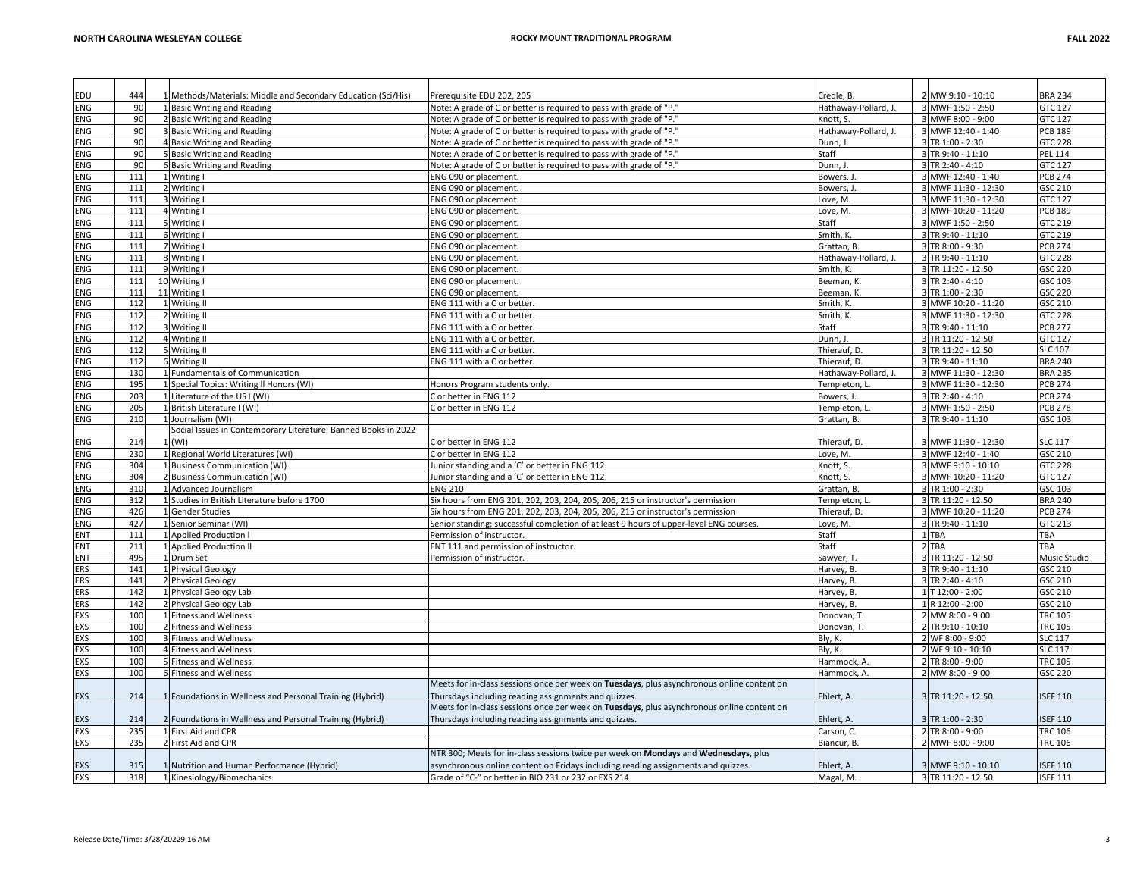| EDU        | 444        | 1 Methods/Materials: Middle and Secondary Education (Sci/His)            | Prerequisite EDU 202, 205                                                                                                                 | Credle, B.              | 2 MW 9:10 - 10:10                        | <b>BRA 234</b>                    |
|------------|------------|--------------------------------------------------------------------------|-------------------------------------------------------------------------------------------------------------------------------------------|-------------------------|------------------------------------------|-----------------------------------|
| <b>ENG</b> | 90         | 1 Basic Writing and Reading                                              | Note: A grade of C or better is required to pass with grade of "P."                                                                       | Hathaway-Pollard, J.    | 3 MWF 1:50 - 2:50                        | GTC 127                           |
| ENG        | 90         | 2 Basic Writing and Reading                                              | Note: A grade of C or better is required to pass with grade of "P."                                                                       | Knott. S.               | 3 MWF 8:00 - 9:00                        | GTC 127                           |
| ENG        | 90         | 3 Basic Writing and Reading                                              | Note: A grade of C or better is required to pass with grade of "P."                                                                       | Hathaway-Pollard, J.    | 3 MWF 12:40 - 1:40                       | <b>PCB 189</b>                    |
| <b>ENG</b> | 90         | 4 Basic Writing and Reading                                              | Note: A grade of C or better is required to pass with grade of "P."                                                                       | Dunn, J                 | 3 TR 1:00 - 2:30                         | GTC 228                           |
| ENG        | 90         |                                                                          |                                                                                                                                           | Staff                   | 3 TR 9:40 - 11:10                        | <b>PEL 114</b>                    |
|            |            | 5 Basic Writing and Reading                                              | Note: A grade of C or better is required to pass with grade of "P."                                                                       |                         |                                          |                                   |
| ENG        | 90         | 6 Basic Writing and Reading                                              | Note: A grade of C or better is required to pass with grade of "P."                                                                       | Dunn, J                 | 3 TR 2:40 - 4:10                         | GTC 127                           |
| ENG        | 111        | 1 Writing I                                                              | ENG 090 or placement.                                                                                                                     | Bowers, J               | 3 MWF 12:40 - 1:40                       | <b>PCB 274</b>                    |
| ENG        | 111        | 2 Writing I                                                              | ENG 090 or placement.                                                                                                                     | Bowers, J.              | 3 MWF 11:30 - 12:30                      | GSC 210                           |
| ENG        | 111        | 3 Writing I                                                              | ENG 090 or placement.                                                                                                                     | Love, M.                | 3 MWF 11:30 - 12:30                      | GTC 127                           |
| <b>ENG</b> | 111        | 4 Writing I                                                              | ENG 090 or placement.                                                                                                                     | Love, M.                | 3 MWF 10:20 - 11:20                      | <b>PCB 189</b>                    |
| ENG        | 111        | Writing I                                                                | ENG 090 or placement.                                                                                                                     | Staff                   | 3 MWF 1:50 - 2:50                        | GTC 219                           |
| ENG        | 111        | SWriting I                                                               | ENG 090 or placement.                                                                                                                     | Smith, K.               | 3 TR 9:40 - 11:10                        | GTC 219                           |
| <b>ENG</b> | 111        | 7 Writing I                                                              | ENG 090 or placement.                                                                                                                     | Grattan, B.             | 3 TR 8:00 - 9:30                         | <b>PCB 274</b>                    |
| ENG        | 111        | 8 Writing I                                                              | ENG 090 or placement.                                                                                                                     | Hathaway-Pollard, J.    | 3 TR 9:40 - 11:10                        | GTC 228                           |
| ENG        | 111        | 9 Writing I                                                              | ENG 090 or placement.                                                                                                                     | Smith, K.               | 3 TR 11:20 - 12:50                       | GSC 220                           |
| ENG        | 111        | 10 Writing I                                                             | ENG 090 or placement.                                                                                                                     | Beeman, K               | 3 TR 2:40 - 4:10                         | GSC 103                           |
| ENG        | 111        | 11 Writing I                                                             | ENG 090 or placement.                                                                                                                     | Beeman, K               | 3 TR 1:00 - 2:30                         | GSC 220                           |
| ENG        | 112        | 1 Writing II                                                             | ENG 111 with a C or better.                                                                                                               | Smith, K.               | 3 MWF 10:20 - 11:20                      | GSC 210                           |
| <b>ENG</b> | 112        | 2 Writing II                                                             | ENG 111 with a C or better.                                                                                                               | Smith, K.               | 3 MWF 11:30 - 12:30                      | GTC 228                           |
| ENG        | 112        | 3 Writing II                                                             | ENG 111 with a C or better.                                                                                                               | Staff                   | 3 TR 9:40 - 11:10                        | <b>PCB 277</b>                    |
| ENG        | 112        | 4 Writing II                                                             | ENG 111 with a C or better.                                                                                                               | Dunn, J                 | 3 TR 11:20 - 12:50                       | GTC 127                           |
| <b>ENG</b> | 112        | Writing II                                                               | ENG 111 with a C or better.                                                                                                               | Thierauf, D.            | 3 TR 11:20 - 12:50                       | <b>SLC 107</b>                    |
| ENG        | 112        | 6 Writing II                                                             | ENG 111 with a C or better.                                                                                                               | Thierauf, D.            | 3 TR 9:40 - 11:10                        | <b>BRA 240</b>                    |
| ENG        | 130        | 1 Fundamentals of Communication                                          |                                                                                                                                           | Hathaway-Pollard, J.    | 3 MWF 11:30 - 12:30                      | <b>BRA 235</b>                    |
| ENG        | 195        | 1 Special Topics: Writing II Honors (WI)                                 | Honors Program students only.                                                                                                             | Templeton, L            | 3 MWF 11:30 - 12:30                      | <b>PCB 274</b>                    |
| ENG        | 203        | 1 Literature of the US I (WI)                                            | Cor better in ENG 112                                                                                                                     | Bowers, J.              | 3 TR 2:40 - 4:10                         | <b>PCB 274</b>                    |
| ENG        | 205        | 1 British Literature I (WI)                                              | Cor better in ENG 112                                                                                                                     | Templeton, L            | 3 MWF 1:50 - 2:50                        | <b>PCB 278</b>                    |
| ENG        | 210        | 1 Journalism (WI)                                                        |                                                                                                                                           | Grattan, B.             | 3 TR 9:40 - 11:10                        | GSC 103                           |
|            |            | Social Issues in Contemporary Literature: Banned Books in 2022           |                                                                                                                                           |                         |                                          |                                   |
| ENG        | 214        | (WI)                                                                     | C or better in ENG 112                                                                                                                    | Thierauf, D.            | 3 MWF 11:30 - 12:30                      | <b>SLC 117</b>                    |
|            |            |                                                                          |                                                                                                                                           |                         |                                          |                                   |
| ENG        | 230        | 1 Regional World Literatures (WI)                                        | C or better in ENG 112                                                                                                                    | Love, M.                | 3 MWF 12:40 - 1:40                       | GSC 210                           |
| ENG        | 304        | 1 Business Communication (WI)                                            | Junior standing and a 'C' or better in ENG 112                                                                                            | Knott, S.               | 3 MWF 9:10 - 10:10                       | GTC 228                           |
| ENG        | 304        | 2 Business Communication (WI)                                            | Junior standing and a 'C' or better in ENG 112.                                                                                           | Knott, S.               | 3 MWF 10:20 - 11:20                      | GTC 127                           |
| ENG        | 310        | 1 Advanced Journalism                                                    | <b>ENG 210</b>                                                                                                                            | Grattan, B.             | 3 TR 1:00 - 2:30                         | GSC 103                           |
| ENG        | 312        | 1 Studies in British Literature before 1700                              | Six hours from ENG 201, 202, 203, 204, 205, 206, 215 or instructor's permission                                                           | Templeton, L            | 3 TR 11:20 - 12:50                       | <b>BRA 240</b>                    |
| ENG        | 426        | 1 Gender Studies                                                         | Six hours from ENG 201, 202, 203, 204, 205, 206, 215 or instructor's permission                                                           | Thierauf, D.            | 3 MWF 10:20 - 11:20                      | <b>PCB 274</b>                    |
| ENG        | 427        | 1 Senior Seminar (WI)                                                    | Senior standing; successful completion of at least 9 hours of upper-level ENG courses.                                                    | Love, M.                | 3 TR 9:40 - 11:10                        | GTC 213                           |
| ENT        | 111        | 1 Applied Production I                                                   | Permission of instructor.                                                                                                                 | Staff                   | 1 TBA                                    | TBA                               |
| ENT        | 211        | 1 Applied Production II                                                  | ENT 111 and permission of instructor.                                                                                                     | Staff                   | 2 TBA                                    | TBA                               |
| ENT        | 495        | 1 Drum Set                                                               | Permission of instructor.                                                                                                                 | Sawyer, T               | 3 TR 11:20 - 12:50                       | Music Studio                      |
| ERS        | 141        | 1 Physical Geology                                                       |                                                                                                                                           | Harvey, B.              | 3 TR 9:40 - 11:10                        | GSC 210                           |
| ERS        | 141        | 2 Physical Geology                                                       |                                                                                                                                           | Harvey, B.              | 3 TR 2:40 - 4:10                         | GSC 210                           |
| <b>ERS</b> | 142        | 1 Physical Geology Lab                                                   |                                                                                                                                           | Harvey, B.              | 1 T 12:00 - 2:00                         | GSC 210                           |
| ERS        | 142        | 2 Physical Geology Lab                                                   |                                                                                                                                           | Harvey, B.              | 1 R 12:00 - 2:00                         | GSC 210                           |
| <b>EXS</b> | 100        | 1 Fitness and Wellness                                                   |                                                                                                                                           | Donovan, T.             | 2 MW 8:00 - 9:00                         | <b>TRC 105</b>                    |
| <b>EXS</b> | 100        | 2 Fitness and Wellness                                                   |                                                                                                                                           | Donovan, T.             | 2 TR 9:10 - 10:10                        | <b>TRC 105</b>                    |
| EXS        | 100        | 3 Fitness and Wellness                                                   |                                                                                                                                           | Bly, K.                 | 2 WF 8:00 - 9:00                         | <b>SLC 117</b>                    |
| EXS        | 100        | 4 Fitness and Wellness                                                   |                                                                                                                                           | Bly, K.                 | 2 WF 9:10 - 10:10                        | <b>SLC 117</b>                    |
| EXS        | 100        | Fitness and Wellness                                                     |                                                                                                                                           | Hammock, A.             | 2 TR 8:00 - 9:00                         | <b>TRC 105</b>                    |
| EXS        | 100        | 6 Fitness and Wellness                                                   |                                                                                                                                           | Hammock, A              | 2 MW 8:00 - 9:00                         | GSC 220                           |
|            |            |                                                                          | Meets for in-class sessions once per week on Tuesdays, plus asynchronous online content on                                                |                         |                                          |                                   |
| EXS        | 214        | 1 Foundations in Wellness and Personal Training (Hybrid)                 | Thursdays including reading assignments and quizzes.                                                                                      | Ehlert, A.              | 3 TR 11:20 - 12:50                       | <b>ISEF 110</b>                   |
|            |            |                                                                          | Meets for in-class sessions once per week on Tuesdays, plus asynchronous online content on                                                |                         |                                          |                                   |
|            |            |                                                                          |                                                                                                                                           |                         |                                          |                                   |
| EXS        | 214        | 2 Foundations in Wellness and Personal Training (Hybrid)                 | Thursdays including reading assignments and quizzes.                                                                                      | Ehlert, A.              | 3 TR 1:00 - 2:30                         | <b>ISEF 110</b>                   |
| EXS        | 235        | 1 First Aid and CPR                                                      |                                                                                                                                           | Carson, C.              | 2 TR 8:00 - 9:00                         | <b>TRC 106</b>                    |
| EXS        | 235        | 2 First Aid and CPR                                                      |                                                                                                                                           | Biancur, B.             | 2 MWF 8:00 - 9:00                        | <b>TRC 106</b>                    |
|            |            |                                                                          | NTR 300; Meets for in-class sessions twice per week on Mondays and Wednesdays, plus                                                       |                         |                                          |                                   |
|            |            |                                                                          |                                                                                                                                           |                         |                                          |                                   |
| EXS<br>EXS | 315<br>318 | 1 Nutrition and Human Performance (Hybrid)<br>1 Kinesiology/Biomechanics | asynchronous online content on Fridays including reading assignments and quizzes.<br>Grade of "C-" or better in BIO 231 or 232 or EXS 214 | Ehlert, A.<br>Magal, M. | 3 MWF 9:10 - 10:10<br>3 TR 11:20 - 12:50 | <b>SEF 110</b><br><b>ISEF 111</b> |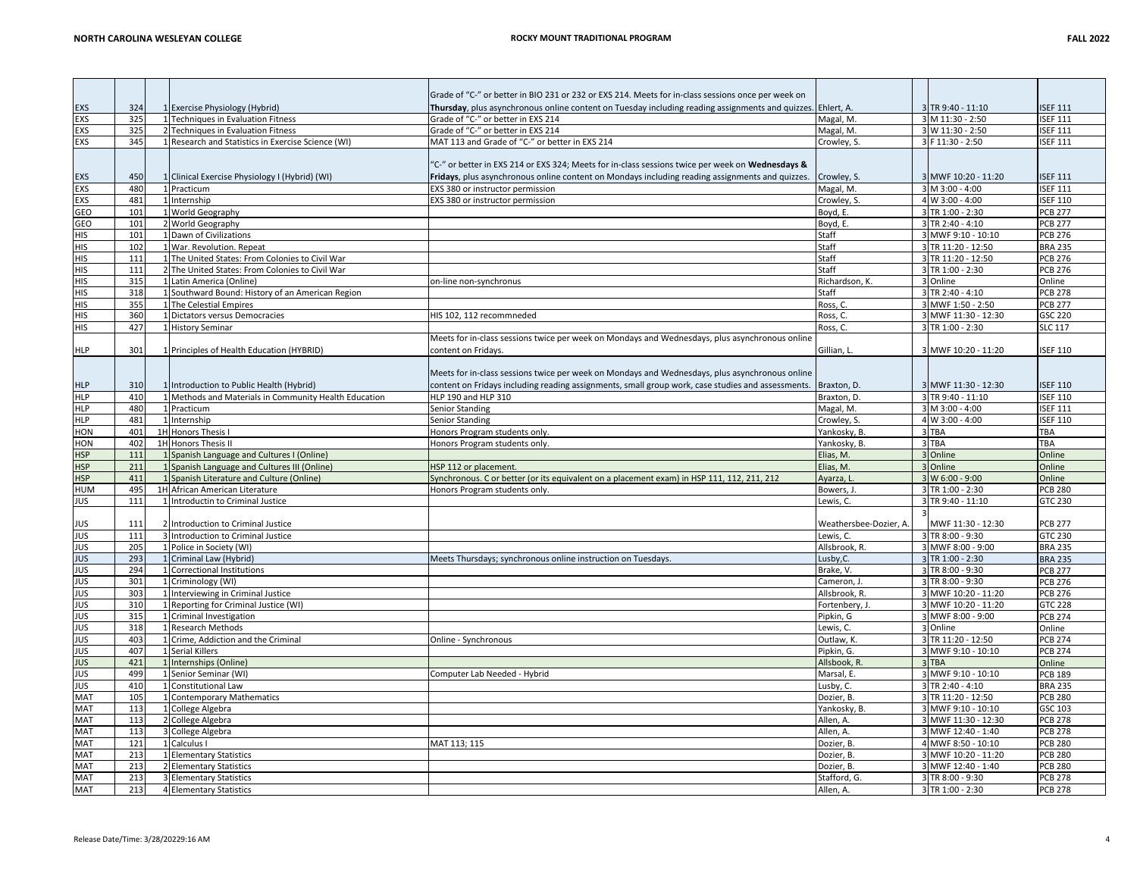|                   |            |                                                       | Grade of "C-" or better in BIO 231 or 232 or EXS 214. Meets for in-class sessions once per week on |                           |                                      |                                  |
|-------------------|------------|-------------------------------------------------------|----------------------------------------------------------------------------------------------------|---------------------------|--------------------------------------|----------------------------------|
| EXS               | 324        | 1 Exercise Physiology (Hybrid)                        | Thursday, plus asynchronous online content on Tuesday including reading assignments and quizzes.   | Ehlert, A.                | 3 TR 9:40 - 11:10                    | <b>ISEF 111</b>                  |
| EXS               | 325        | 1 Techniques in Evaluation Fitness                    | Grade of "C-" or better in EXS 214                                                                 | Magal, M.                 | 3 M 11:30 - 2:50                     | <b>ISEF 111</b>                  |
| EXS               | 325        | 2 Techniques in Evaluation Fitness                    | Grade of "C-" or better in EXS 214                                                                 | Magal, M.                 | 3 W 11:30 - 2:50                     | <b>ISEF 111</b>                  |
| EXS               | 345        | 1 Research and Statistics in Exercise Science (WI)    | MAT 113 and Grade of "C-" or better in EXS 214                                                     | Crowley, S.               | 3 F 11:30 - 2:50                     | <b>ISEF 111</b>                  |
|                   |            |                                                       |                                                                                                    |                           |                                      |                                  |
|                   |            |                                                       | 'C-" or better in EXS 214 or EXS 324; Meets for in-class sessions twice per week on Wednesdays &   |                           |                                      |                                  |
| EXS               | 450        | 1 Clinical Exercise Physiology I (Hybrid) (WI)        | Fridays, plus asynchronous online content on Mondays including reading assignments and quizzes.    | Crowley, S.               | 3 MWF 10:20 - 11:20                  | <b>ISEF 111</b>                  |
| EXS               | 480        | 1 Practicum                                           | EXS 380 or instructor permission                                                                   | Magal, M.                 | 3 M 3:00 - 4:00                      | <b>ISEF 111</b>                  |
| EXS               | 481        | 1 Internship                                          | EXS 380 or instructor permission                                                                   | Crowley, S.               | 4 W 3:00 - 4:00                      | <b>ISEF 110</b>                  |
| GEO               | 101        | 1 World Geography                                     |                                                                                                    | Boyd, E.                  | 3 TR 1:00 - 2:30                     | <b>PCB 277</b>                   |
| GEO               | 101        | 2 World Geography                                     |                                                                                                    | Boyd, E.                  | 3 TR 2:40 - 4:10                     | <b>PCB 277</b>                   |
| <b>HIS</b>        | 101        | 1 Dawn of Civilizations                               |                                                                                                    | Staff                     | 3 MWF 9:10 - 10:10                   | <b>PCB 276</b>                   |
| <b>HIS</b>        | 102        | 1 War. Revolution, Repeat                             |                                                                                                    | Staff                     | 3 TR 11:20 - 12:50                   | <b>BRA 235</b>                   |
| <b>HIS</b>        | 111        | 1 The United States: From Colonies to Civil War       |                                                                                                    | Staff                     | 3 TR 11:20 - 12:50                   | <b>PCB 276</b>                   |
| <b>HIS</b>        | 111        | 2 The United States: From Colonies to Civil War       |                                                                                                    | Staff                     | 3 TR 1:00 - 2:30                     | <b>PCB 276</b>                   |
| <b>HIS</b>        | 315        | 1 Latin America (Online)                              | on-line non-synchronus                                                                             | Richardson, K.            | 3 Online                             | Online                           |
| <b>HIS</b>        | 318        | 1 Southward Bound: History of an American Region      |                                                                                                    | Staff                     | 3 TR 2:40 - 4:10                     | <b>PCB 278</b>                   |
| <b>HIS</b>        | 355        | 1 The Celestial Empires                               |                                                                                                    | Ross. C.                  | 3 MWF 1:50 - 2:50                    | <b>PCB 277</b>                   |
| <b>HIS</b>        | 360        | 1 Dictators versus Democracies                        | HIS 102, 112 recommneded                                                                           | Ross, C.                  | 3 MWF 11:30 - 12:30                  | GSC 220                          |
| <b>HIS</b>        | 427        | 1 History Seminar                                     |                                                                                                    | Ross, C.                  | 3 TR 1:00 - 2:30                     | <b>SLC 117</b>                   |
|                   |            |                                                       | Meets for in-class sessions twice per week on Mondays and Wednesdays, plus asynchronous online     |                           |                                      |                                  |
| <b>HLP</b>        | 301        | 1 Principles of Health Education (HYBRID)             | content on Fridays.                                                                                | Gillian, L.               | 3 MWF 10:20 - 11:20                  | <b>ISEF 110</b>                  |
|                   |            |                                                       |                                                                                                    |                           |                                      |                                  |
|                   |            |                                                       | Meets for in-class sessions twice per week on Mondays and Wednesdays, plus asynchronous online     |                           |                                      |                                  |
| <b>HLP</b>        | 310        | 1 Introduction to Public Health (Hybrid)              | content on Fridays including reading assignments, small group work, case studies and assessments.  | Braxton, D.               | 3 MWF 11:30 - 12:30                  | <b>ISEF 110</b>                  |
| <b>HLP</b>        | 410        | 1 Methods and Materials in Community Health Education | HLP 190 and HLP 310                                                                                | Braxton, D.               | 3 TR 9:40 - 11:10                    | <b>ISEF 110</b>                  |
| <b>HLP</b>        | 480        | 1 Practicum                                           | <b>Senior Standing</b>                                                                             | Magal, M.                 | 3 M 3:00 - 4:00                      | <b>ISEF 111</b>                  |
| <b>HLP</b>        | 481        | 1 Internship                                          | <b>Senior Standing</b>                                                                             |                           | 4 W 3:00 - 4:00                      | <b>ISEF 110</b>                  |
|                   |            |                                                       |                                                                                                    | Crowley, S.               |                                      |                                  |
| <b>HON</b>        | 401        | 1H Honors Thesis I                                    | Honors Program students only.                                                                      | Yankosky, B               | 3 TBA                                | TBA                              |
|                   |            |                                                       |                                                                                                    |                           |                                      |                                  |
| HON               | 402        | 1H Honors Thesis II                                   | Honors Program students only                                                                       | Yankosky, B.              | 3 TBA                                | TBA                              |
| <b>HSP</b>        | 111        | 1 Spanish Language and Cultures I (Online)            |                                                                                                    | Elias, M.                 | 3 Online                             | Online                           |
| <b>HSP</b>        | 211        | 1 Spanish Language and Cultures III (Online)          | HSP 112 or placement.                                                                              | Elias, M.                 | 3 Online                             | Online                           |
| <b>HSP</b>        | 411        | 1 Spanish Literature and Culture (Online)             | Synchronous. C or better (or its equivalent on a placement exam) in HSP 111, 112, 211, 212         | Ayarza, I                 | 3 W 6:00 - 9:00                      | Online                           |
| HUM               | 495        | 1H African American Literature                        | Honors Program students only.                                                                      | Bowers, J                 | 3 TR 1:00 - 2:30                     | <b>PCB 280</b>                   |
| JUS               | 111        | 1 Introductin to Criminal Justice                     |                                                                                                    | Lewis, C.                 | 3 TR 9:40 - 11:10                    | GTC 230                          |
|                   |            |                                                       |                                                                                                    |                           |                                      |                                  |
| JUS               | 111        | 2 Introduction to Criminal Justice                    |                                                                                                    | Weathersbee-Dozier, A.    | MWF 11:30 - 12:30                    | <b>PCB 277</b>                   |
| JUS               | 111        | 3 Introduction to Criminal Justice                    |                                                                                                    | Lewis, C.                 | 3 TR 8:00 - 9:30                     | GTC 230                          |
| <b>JUS</b>        | 205        | 1 Police in Society (WI)                              |                                                                                                    | Allsbrook, R.             | 3 MWF 8:00 - 9:00                    | <b>BRA 235</b>                   |
| <b>JUS</b>        | 293        | 1 Criminal Law (Hybrid)                               | Meets Thursdays; synchronous online instruction on Tuesdays                                        | Lusby, C.                 | 3 TR 1:00 - 2:30                     | <b>BRA 235</b>                   |
| <b>JUS</b>        | 294        | 1 Correctional Institutions                           |                                                                                                    | Brake, V.                 | 3 TR 8:00 - 9:30                     | <b>PCB 277</b>                   |
| <b>JUS</b>        | 301        | 1 Criminology (WI)                                    |                                                                                                    | Cameron, J.               | 3 TR 8:00 - 9:30                     | <b>PCB 276</b>                   |
| <b>JUS</b>        | 303        | 1 Interviewing in Criminal Justice                    |                                                                                                    | Allsbrook, R.             | 3 MWF 10:20 - 11:20                  | <b>PCB 276</b>                   |
| <b>JUS</b>        | 310        | 1 Reporting for Criminal Justice (WI)                 |                                                                                                    | Fortenbery, J             | 3 MWF 10:20 - 11:20                  | GTC 228                          |
| JUS               | 315        | 1 Criminal Investigation                              |                                                                                                    | Pipkin, G                 | 3 MWF 8:00 - 9:00                    | <b>PCB 274</b>                   |
| JUS               | 318        | 1 Research Methods                                    |                                                                                                    | Lewis, C.                 | 3 Online                             | Online                           |
| <b>JUS</b>        | 403        | 1 Crime, Addiction and the Criminal                   | Online - Synchronous                                                                               | Outlaw, K                 | 3 TR 11:20 - 12:50                   | <b>PCB 274</b>                   |
| JUS               | 407        | 1 Serial Killers                                      |                                                                                                    | Pipkin, G.                | 3 MWF 9:10 - 10:10                   | <b>PCB 274</b>                   |
| <b>JUS</b>        | 421        | 1 Internships (Online)                                |                                                                                                    | Allsbook, R.              | 3 TBA                                | Online                           |
| <b>JUS</b>        | 499        | 1 Senior Seminar (WI)                                 | Computer Lab Needed - Hybrid                                                                       | Marsal, E.                | 3 MWF 9:10 - 10:10                   | <b>PCB 189</b>                   |
| JUS               | 410        | 1 Constitutional Law                                  |                                                                                                    | Lusby, C.                 | 3 TR 2:40 - 4:10                     | <b>BRA 235</b>                   |
| <b>MAT</b>        | 105        | 1 Contemporary Mathematics                            |                                                                                                    | Dozier, B.                | 3 TR 11:20 - 12:50                   | <b>PCB 280</b>                   |
| MAT               | 113        | 1 College Algebra                                     |                                                                                                    | Yankosky, B               | 3 MWF 9:10 - 10:10                   | GSC 103                          |
| MAT               | 113        | 2 College Algebra                                     |                                                                                                    | Allen, A.                 | 3 MWF 11:30 - 12:30                  | <b>PCB 278</b>                   |
| MAT               | 113        | 3 College Algebra                                     |                                                                                                    | Allen, A.                 | 3 MWF 12:40 - 1:40                   | <b>PCB 278</b>                   |
| MAT               | 121        | 1 Calculus I                                          | MAT 113; 115                                                                                       | Dozier, B.                | 4 MWF 8:50 - 10:10                   | <b>PCB 280</b>                   |
| MAT               | 213        | 1 Elementary Statistics                               |                                                                                                    | Dozier. B.                | 3 MWF 10:20 - 11:20                  | <b>PCB 280</b>                   |
| MAT               | 213        | 2 Elementary Statistics                               |                                                                                                    | Dozier, B.                | 3 MWF 12:40 - 1:40                   | <b>PCB 280</b>                   |
| MAT<br><b>MAT</b> | 213<br>213 | 3 Elementary Statistics<br>4 Elementary Statistics    |                                                                                                    | Stafford, G.<br>Allen, A. | 3 TR 8:00 - 9:30<br>3 TR 1:00 - 2:30 | <b>PCB 278</b><br><b>PCB 278</b> |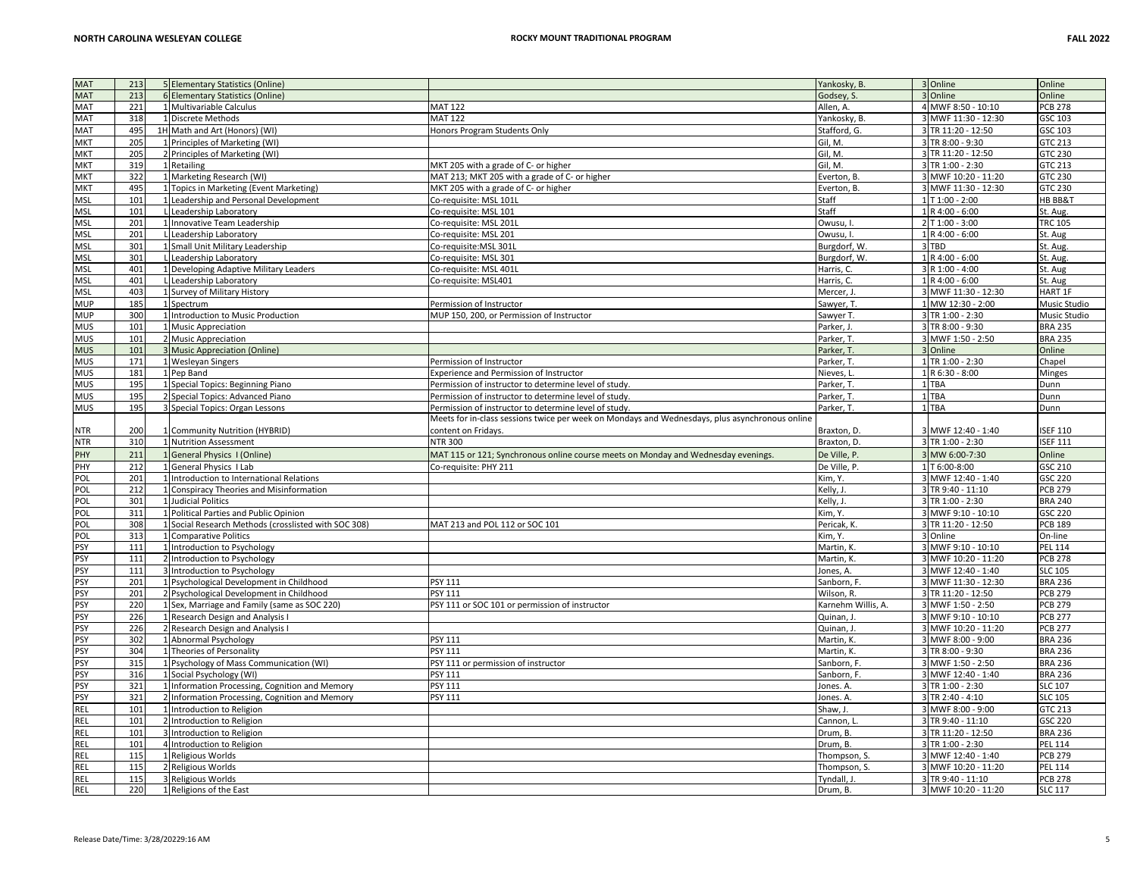| <b>MAT</b>        | 213        | 5 Elementary Statistics (Online)                     |                                                                                                | Yankosky, B.            | 3 Online                                 | Online                           |
|-------------------|------------|------------------------------------------------------|------------------------------------------------------------------------------------------------|-------------------------|------------------------------------------|----------------------------------|
| <b>MAT</b>        | 213        | 6 Elementary Statistics (Online)                     |                                                                                                | Godsey, S.              | 3 Online                                 | Online                           |
| MAT               |            |                                                      |                                                                                                |                         |                                          |                                  |
|                   | 221        | 1 Multivariable Calculus                             | <b>MAT 122</b>                                                                                 | Allen, A.               | 4 MWF 8:50 - 10:10                       | <b>PCB 278</b>                   |
| MAT               | 318        | 1 Discrete Methods                                   | <b>MAT 122</b>                                                                                 | Yankosky, B.            | 3 MWF 11:30 - 12:30                      | GSC 103                          |
| MAT               | 495        | 1H Math and Art (Honors) (WI)                        | Honors Program Students Only                                                                   | Stafford, G.            | 3 TR 11:20 - 12:50                       | GSC 103                          |
| <b>MKT</b>        | 205        | 1 Principles of Marketing (WI)                       |                                                                                                | Gil, M.                 | 3 TR 8:00 - 9:30                         | GTC 213                          |
| MKT               | 205        | 2 Principles of Marketing (WI)                       |                                                                                                | Gil, M.                 | 3 TR 11:20 - 12:50                       | GTC 230                          |
| MKT               | 319        | 1 Retailing                                          | MKT 205 with a grade of C- or higher                                                           | Gil, M.                 | 3 TR 1:00 - 2:30                         | GTC 213                          |
| MKT               | 322        | 1 Marketing Research (WI)                            | MAT 213; MKT 205 with a grade of C- or higher                                                  | Everton, B.             | 3 MWF 10:20 - 11:20                      | GTC 230                          |
| MKT               | 495        | 1 Topics in Marketing (Event Marketing)              | MKT 205 with a grade of C- or higher                                                           | Everton, B.             | 3 MWF 11:30 - 12:30                      | GTC 230                          |
|                   | 101        |                                                      |                                                                                                |                         | 1 T 1:00 - 2:00                          | HB BB&T                          |
| MSL               |            | Leadership and Personal Development                  | Co-requisite: MSL 101L                                                                         | Staff                   |                                          |                                  |
| MSL               | 101        | L Leadership Laboratory                              | Co-requisite: MSL 101                                                                          | Staff                   | 1 R 4:00 - 6:00                          | St. Aug.                         |
| MSL               | 201        | 1 Innovative Team Leadership                         | Co-requisite: MSL 201L                                                                         | Owusu, I                | 2 T 1:00 - 3:00                          | <b>TRC 105</b>                   |
| MSL               | 201        | L Leadership Laboratory                              | Co-requisite: MSL 201                                                                          | Owusu, I.               | 1 R 4:00 - 6:00                          | St. Aug                          |
| MSL               | 301        | 1 Small Unit Military Leadership                     | Co-requisite:MSL 301L                                                                          | Burgdorf, W.            | 3 TBD                                    | St. Aug                          |
| MSL               | 301        | L Leadership Laboratory                              | Co-requisite: MSL 301                                                                          | Burgdorf, W.            | 1 R 4:00 - 6:00                          | St. Aug.                         |
| MSL               | 401        | 1 Developing Adaptive Military Leaders               | Co-requisite: MSL 401L                                                                         | Harris, C.              | 3 R 1:00 - 4:00                          | St. Aug                          |
| MSL               | 401        | L Leadership Laboratory                              | Co-requisite: MSL401                                                                           | Harris, C.              | 1 R 4:00 - 6:00                          | St. Aug                          |
| MSL               | 403        | 1 Survey of Military History                         |                                                                                                | Mercer, J.              | 3 MWF 11:30 - 12:30                      | HART 1F                          |
|                   |            |                                                      |                                                                                                |                         |                                          |                                  |
| MUP               | 185        | 1 Spectrum                                           | Permission of Instructor                                                                       | Sawyer, T.              | 1 MW 12:30 - 2:00                        | Music Studio                     |
| <b>MUP</b>        | 300        | 1 Introduction to Music Production                   | MUP 150, 200, or Permission of Instructor                                                      | Sawyer T.               | 3 TR 1:00 - 2:30                         | Music Studio                     |
| MUS               | 101        | 1 Music Appreciation                                 |                                                                                                | Parker, J               | 3 TR 8:00 - 9:30                         | <b>BRA 235</b>                   |
| MUS               | 101        | 2 Music Appreciation                                 |                                                                                                | Parker, T.              | 3 MWF 1:50 - 2:50                        | <b>BRA 235</b>                   |
| <b>MUS</b>        | 101        | 3 Music Appreciation (Online)                        |                                                                                                | Parker, T.              | 3 Online                                 | Online                           |
| MUS               | 171        | 1 Wesleyan Singers                                   | Permission of Instructor                                                                       | Parker, T.              | 1 TR 1:00 - 2:30                         | Chapel                           |
| MUS               | 181        | 1 Pep Band                                           | Experience and Permission of Instructor                                                        | Nieves, L.              | 1 R 6:30 - 8:00                          | Minges                           |
| MUS               | 195        | 1 Special Topics: Beginning Piano                    | Permission of instructor to determine level of study.                                          | Parker, T.              | 1 TBA                                    | Dunn                             |
| MUS               | 195        |                                                      |                                                                                                |                         | 1 TBA                                    |                                  |
|                   |            | 2 Special Topics: Advanced Piano                     | Permission of instructor to determine level of study.                                          | Parker, T.              |                                          | Dunn                             |
| MUS               | 195        | 3 Special Topics: Organ Lessons                      | Permission of instructor to determine level of study.                                          | Parker, T.              | 1 TBA                                    | Dunn                             |
|                   |            |                                                      | Meets for in-class sessions twice per week on Mondays and Wednesdays, plus asynchronous online |                         |                                          |                                  |
| NTR               | 200        | 1 Community Nutrition (HYBRID)                       | content on Fridays.                                                                            | Braxton, D.             | 3 MWF 12:40 - 1:40                       | <b>ISEF 110</b>                  |
| <b>NTR</b>        | 310        | 1 Nutrition Assessment                               | <b>NTR 300</b>                                                                                 | Braxton, D.             | 3 TR 1:00 - 2:30                         | <b>ISEF 111</b>                  |
| PHY               | 211        | 1 General Physics I (Online)                         | MAT 115 or 121; Synchronous online course meets on Monday and Wednesday evenings.              | De Ville, P.            | 3 MW 6:00-7:30                           | Online                           |
| PHY               | 212        | 1 General Physics I Lab                              | Co-requisite: PHY 211                                                                          | De Ville, P.            | 1 T 6:00-8:00                            | GSC 210                          |
| POL               | 201        | 1 Introduction to International Relations            |                                                                                                | Kim, Y.                 | 3 MWF 12:40 - 1:40                       | GSC 220                          |
| POL               | 212        |                                                      |                                                                                                |                         | 3 TR 9:40 - 11:10                        | <b>PCB 279</b>                   |
|                   |            | 1 Conspiracy Theories and Misinformation             |                                                                                                | Kelly, J.               |                                          |                                  |
| POL               | 301        | 1 Judicial Politics                                  |                                                                                                | Kelly, J.               | 3 TR 1:00 - 2:30                         | <b>BRA 240</b>                   |
| POL               | 311        | 1 Political Parties and Public Opinion               |                                                                                                | Kim, Y.                 | 3 MWF 9:10 - 10:10                       | GSC 220                          |
| POL               | 308        | 1 Social Research Methods (crosslisted with SOC 308) | MAT 213 and POL 112 or SOC 101                                                                 | Pericak, K              | 3 TR 11:20 - 12:50                       | <b>PCB 189</b>                   |
| POL               | 313        | 1 Comparative Politics                               |                                                                                                | Kim, Y.                 | 3 Online                                 | On-line                          |
| PSY               | 111        | 1 Introduction to Psychology                         |                                                                                                | Martin, K.              | 3 MWF 9:10 - 10:10                       | <b>PEL 114</b>                   |
| PSY               | 111        | 2 Introduction to Psychology                         |                                                                                                | Martin, K               | 3 MWF 10:20 - 11:20                      | <b>PCB 278</b>                   |
| PSY               | 111        | 3 Introduction to Psychology                         |                                                                                                | Jones, A.               | 3 MWF 12:40 - 1:40                       | <b>SLC 105</b>                   |
| PSY               | 201        | 1 Psychological Development in Childhood             | <b>PSY 111</b>                                                                                 | Sanborn, F.             | 3 MWF 11:30 - 12:30                      | <b>BRA 236</b>                   |
|                   |            |                                                      |                                                                                                |                         |                                          |                                  |
| PSY               | 201        | 2 Psychological Development in Childhood             | <b>PSY 111</b>                                                                                 | Wilson, R.              | 3 TR 11:20 - 12:50                       | <b>PCB 279</b>                   |
| PSY               | 220        | 1 Sex, Marriage and Family (same as SOC 220)         | PSY 111 or SOC 101 or permission of instructor                                                 | Karnehm Willis, A.      | 3 MWF 1:50 - 2:50                        | <b>PCB 279</b>                   |
| PSY               | 226        | 1 Research Design and Analysis I                     |                                                                                                | Quinan, J.              | 3 MWF 9:10 - 10:10                       | <b>PCB 277</b>                   |
| PSY               | 226        | 2 Research Design and Analysis I                     |                                                                                                | Quinan, J.              | 3 MWF 10:20 - 11:20                      | <b>PCB 277</b>                   |
| PSY               | 302        | 1 Abnormal Psychology                                | PSY 111                                                                                        | Martin, K.              | 3 MWF 8:00 - 9:00                        | <b>BRA 236</b>                   |
| PSY               | 304        | 1 Theories of Personality                            | PSY 111                                                                                        | Martin, K.              | 3 TR 8:00 - 9:30                         | <b>BRA 236</b>                   |
| PSY               | 315        | 1 Psychology of Mass Communication (WI)              | PSY 111 or permission of instructor                                                            | Sanborn, F.             | 3 MWF 1:50 - 2:50                        | <b>BRA 236</b>                   |
| PSY               | 316        | 1 Social Psychology (WI)                             | PSY 111                                                                                        | Sanborn, F.             | 3 MWF 12:40 - 1:40                       | <b>BRA 236</b>                   |
| PSY               | 321        | 1 Information Processing, Cognition and Memory       | PSY 111                                                                                        | Jones. A.               | 3 TR 1:00 - 2:30                         | <b>SLC 107</b>                   |
| PSY               | 321        | 2 Information Processing, Cognition and Memory       | PSY 111                                                                                        | Jones. A.               | 3 TR 2:40 - 4:10                         | <b>SLC 105</b>                   |
|                   |            |                                                      |                                                                                                |                         |                                          |                                  |
| REL               | 101        | 1 Introduction to Religion                           |                                                                                                | Shaw, J.                | 3 MWF 8:00 - 9:00                        | GTC 213                          |
| REL               | 101        | 2 Introduction to Religion                           |                                                                                                | Cannon, L               | 3 TR 9:40 - 11:10                        | GSC 220                          |
| REL               | 101        | 3 Introduction to Religion                           |                                                                                                | Drum, B.                | 3 TR 11:20 - 12:50                       | <b>BRA 236</b>                   |
| REL               | 101        | 4 Introduction to Religion                           |                                                                                                | Drum, B.                | 3 TR 1:00 - 2:30                         | <b>PEL 114</b>                   |
| REL               | 115        | 1 Religious Worlds                                   |                                                                                                | Thompson, S.            | 3 MWF 12:40 - 1:40                       | <b>PCB 279</b>                   |
| REL               |            |                                                      |                                                                                                |                         |                                          |                                  |
|                   | 115        |                                                      |                                                                                                |                         |                                          | <b>PEL 114</b>                   |
|                   |            | 2 Religious Worlds                                   |                                                                                                | Thompson, S.            | 3 MWF 10:20 - 11:20                      |                                  |
| REL<br><b>REL</b> | 115<br>220 | 3 Religious Worlds<br>1 Religions of the East        |                                                                                                | Tyndall, J.<br>Drum, B. | 3 TR 9:40 - 11:10<br>3 MWF 10:20 - 11:20 | <b>PCB 278</b><br><b>SLC 117</b> |